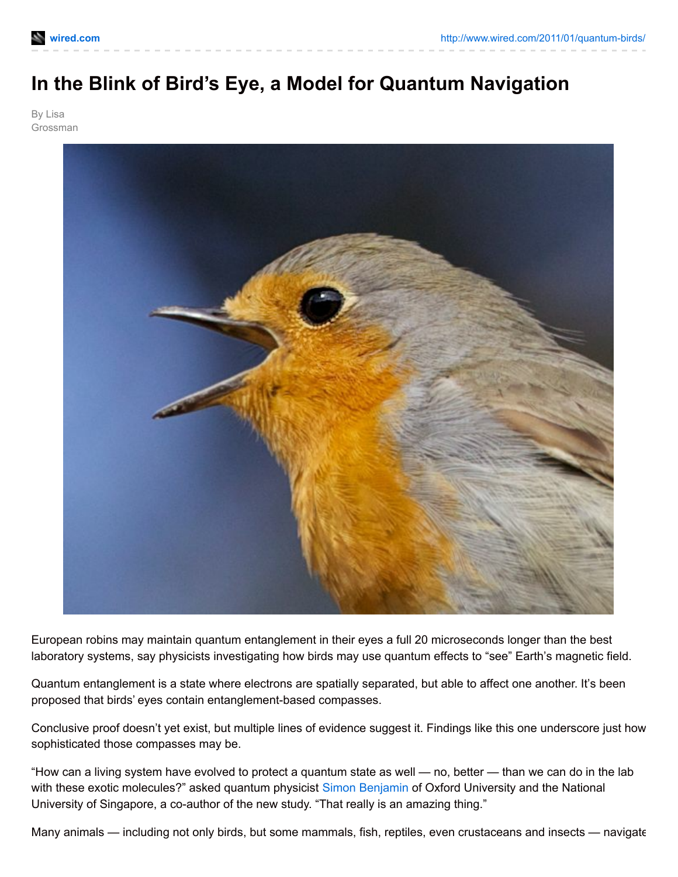## **In the Blink of Bird's Eye, a Model for Quantum Navigation**

By Lisa Grossman



European robins may maintain quantum entanglement in their eyes a full 20 microseconds longer than the best laboratory systems, say physicists investigating how birds may use quantum effects to "see" Earth's magnetic field.

Quantum entanglement is a state where electrons are spatially separated, but able to affect one another. It's been proposed that birds' eyes contain entanglement-based compasses.

Conclusive proof doesn't yet exist, but multiple lines of evidence suggest it. Findings like this one underscore just how sophisticated those compasses may be.

"How can a living system have evolved to protect a quantum state as well — no, better — than we can do in the lab with these exotic molecules?" asked quantum physicist Simon [Benjamin](http://www.materials.ox.ac.uk/peoplepages/benjamin.html) of Oxford University and the National University of Singapore, a co-author of the new study. "That really is an amazing thing."

Many animals — including not only birds, but some mammals, fish, reptiles, even crustaceans and insects — navigate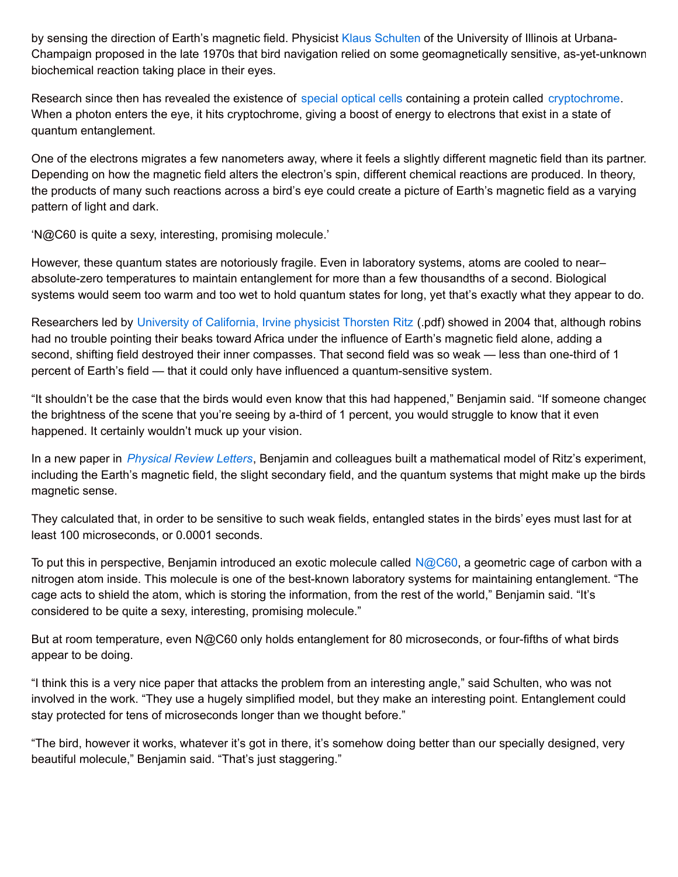by sensing the direction of Earth's magnetic field. Physicist Klaus [Schulten](http://www.ks.uiuc.edu/~kschulte/) of the University of Illinois at Urbana-Champaign proposed in the late 1970s that bird navigation relied on some geomagnetically sensitive, as-yet-unknown biochemical reaction taking place in their eyes.

Research since then has revealed the existence of [special](http://www.wired.com/wiredscience/2009/06/birdcompass/) optical cells containing a protein called [cryptochrome](http://en.wikipedia.org/wiki/Cryptochrome). When a photon enters the eye, it hits cryptochrome, giving a boost of energy to electrons that exist in a state of quantum entanglement.

One of the electrons migrates a few nanometers away, where it feels a slightly different magnetic field than its partner. Depending on how the magnetic field alters the electron's spin, different chemical reactions are produced. In theory, the products of many such reactions across a bird's eye could create a picture of Earth's magnetic field as a varying pattern of light and dark.

'N@C60 is quite a sexy, interesting, promising molecule.'

However, these quantum states are notoriously fragile. Even in laboratory systems, atoms are cooled to near– absolute-zero temperatures to maintain entanglement for more than a few thousandths of a second. Biological systems would seem too warm and too wet to hold quantum states for long, yet that's exactly what they appear to do.

Researchers led by University of [California,](http://www.physics.uci.edu/~tritz/Publications/RITZ2004.pdf) Irvine physicist Thorsten Ritz (.pdf) showed in 2004 that, although robins had no trouble pointing their beaks toward Africa under the influence of Earth's magnetic field alone, adding a second, shifting field destroyed their inner compasses. That second field was so weak — less than one-third of 1 percent of Earth's field — that it could only have influenced a quantum-sensitive system.

"It shouldn't be the case that the birds would even know that this had happened," Benjamin said. "If someone changed the brightness of the scene that you're seeing by a-third of 1 percent, you would struggle to know that it even happened. It certainly wouldn't muck up your vision.

In a new paper in *[Physical](http://prl.aps.org/abstract/PRL/v106/i4/e040503) Review Letters*, Benjamin and colleagues built a mathematical model of Ritz's experiment, including the Earth's magnetic field, the slight secondary field, and the quantum systems that might make up the birds magnetic sense.

They calculated that, in order to be sensitive to such weak fields, entangled states in the birds' eyes must last for at least 100 microseconds, or 0.0001 seconds.

To put this in perspective, Benjamin introduced an exotic molecule called  $N@C60$ , a geometric cage of carbon with a nitrogen atom inside. This molecule is one of the best-known laboratory systems for maintaining entanglement. "The cage acts to shield the atom, which is storing the information, from the rest of the world," Benjamin said. "It's considered to be quite a sexy, interesting, promising molecule."

But at room temperature, even N@C60 only holds entanglement for 80 microseconds, or four-fifths of what birds appear to be doing.

"I think this is a very nice paper that attacks the problem from an interesting angle," said Schulten, who was not involved in the work. "They use a hugely simplified model, but they make an interesting point. Entanglement could stay protected for tens of microseconds longer than we thought before."

"The bird, however it works, whatever it's got in there, it's somehow doing better than our specially designed, very beautiful molecule," Benjamin said. "That's just staggering."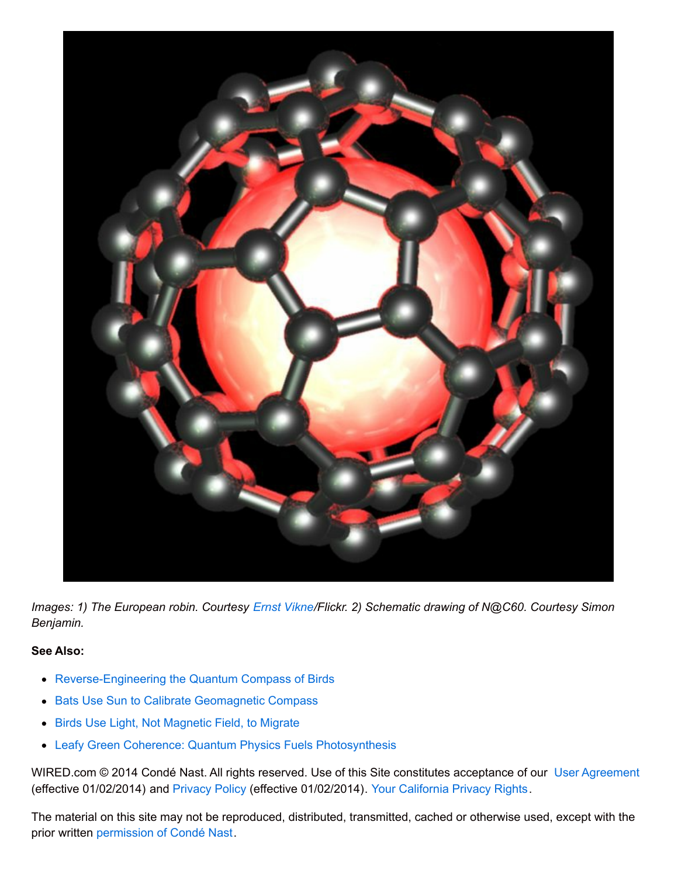

*Images: 1) The European robin. Courtesy Ernst [Vikne](http://www.flickr.com/photos/42834622@N00/4525597840)/Flickr. 2) Schematic drawing of N@C60. Courtesy Simon Benjamin.*

## **See Also:**

- [Reverse-Engineering](http://www.wired.com/wiredscience/2009/06/birdcompass/) the Quantum Compass of Birds
- Bats Use Sun to Calibrate [Geomagnetic](http://www.wired.com/wiredscience/2010/03/bat-compass/) Compass
- Birds Use Light, Not [Magnetic](http://www.wired.com/wiredscience/2009/10/bird-migration-light/) Field, to Migrate
- Leafy Green Coherence: Quantum Physics Fuels [Photosynthesis](http://www.wired.com/wiredscience/2010/07/leafy-green-physics/)

WIRED.com © 2014 Condé Nast. All rights reserved. Use of this Site constitutes acceptance of our User [Agreement](http://www.condenast.com/privacy-policy) (effective 01/02/2014) and [Privacy](http://www.condenast.com/privacy-policy#privacypolicy) Policy (effective 01/02/2014). Your [California](http://www.condenast.com/privacy-policy#privacypolicy-california) Privacy Rights.

The material on this site may not be reproduced, distributed, transmitted, cached or otherwise used, except with the prior written [permission](http://www.condenast.com/reprints-permissions) of Condé Nast.